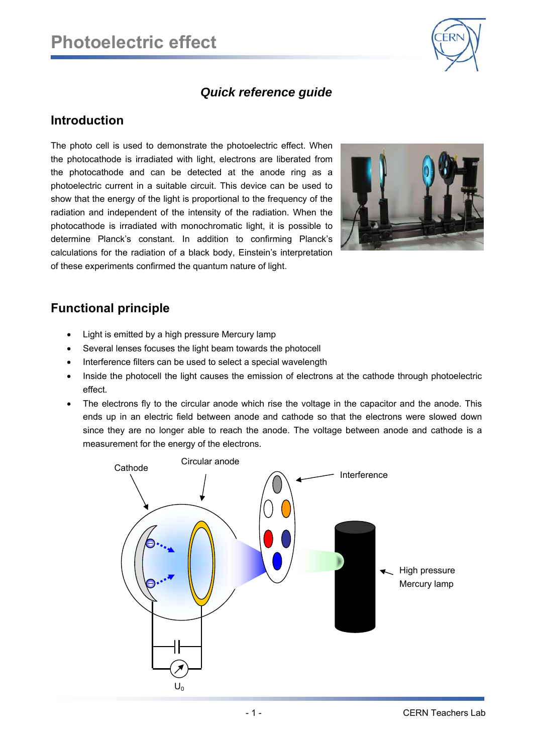

## *Quick reference guide*

## **Introduction**

The photo cell is used to demonstrate the photoelectric effect. When the photocathode is irradiated with light, electrons are liberated from the photocathode and can be detected at the anode ring as a photoelectric current in a suitable circuit. This device can be used to show that the energy of the light is proportional to the frequency of the radiation and independent of the intensity of the radiation. When the photocathode is irradiated with monochromatic light, it is possible to determine Planck's constant. In addition to confirming Planck's calculations for the radiation of a black body, Einstein's interpretation of these experiments confirmed the quantum nature of light.



## **Functional principle**

- Light is emitted by a high pressure Mercury lamp
- Several lenses focuses the light beam towards the photocell
- Interference filters can be used to select a special wavelength
- Inside the photocell the light causes the emission of electrons at the cathode through photoelectric effect.
- The electrons fly to the circular anode which rise the voltage in the capacitor and the anode. This ends up in an electric field between anode and cathode so that the electrons were slowed down since they are no longer able to reach the anode. The voltage between anode and cathode is a measurement for the energy of the electrons.

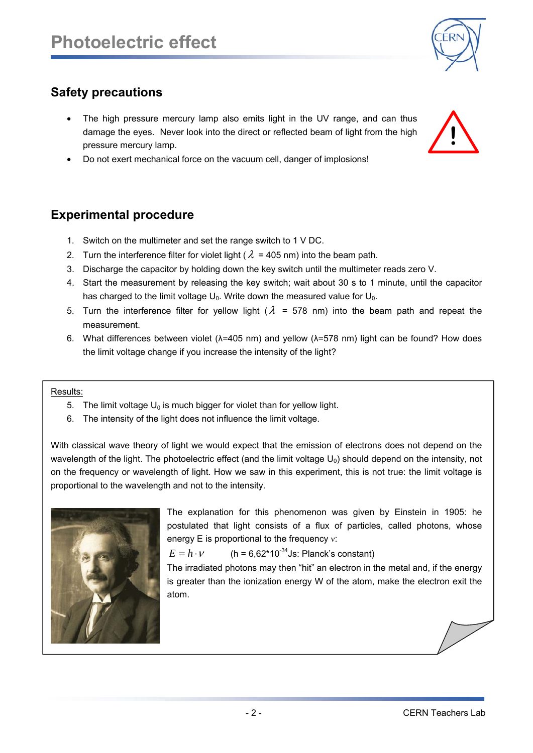

# **Safety precautions**

- The high pressure mercury lamp also emits light in the UV range, and can thus damage the eyes. Never look into the direct or reflected beam of light from the high pressure mercury lamp.
- Do not exert mechanical force on the vacuum cell, danger of implosions!

## **Experimental procedure**

- 1. Switch on the multimeter and set the range switch to 1 V DC.
- 2. Turn the interference filter for violet light ( $\lambda$  = 405 nm) into the beam path.
- 3. Discharge the capacitor by holding down the key switch until the multimeter reads zero V.
- 4. Start the measurement by releasing the key switch; wait about 30 s to 1 minute, until the capacitor has charged to the limit voltage  $U_0$ . Write down the measured value for  $U_0$ .
- 5. Turn the interference filter for vellow light ( $\lambda$  = 578 nm) into the beam path and repeat the measurement.
- 6. What differences between violet (λ=405 nm) and yellow (λ=578 nm) light can be found? How does the limit voltage change if you increase the intensity of the light?

#### Results:

- 5. The limit voltage  $U_0$  is much bigger for violet than for yellow light.
- 6. The intensity of the light does not influence the limit voltage.

With classical wave theory of light we would expect that the emission of electrons does not depend on the wavelength of the light. The photoelectric effect (and the limit voltage  $U_0$ ) should depend on the intensity, not on the frequency or wavelength of light. How we saw in this experiment, this is not true: the limit voltage is proportional to the wavelength and not to the intensity.



The explanation for this phenomenon was given by Einstein in 1905: he postulated that light consists of a flux of particles, called photons, whose energy E is proportional to the frequency ν:

 $E = h \cdot v$  (h = 6,62\*10<sup>-34</sup>Js: Planck's constant)

The irradiated photons may then "hit" an electron in the metal and, if the energy is greater than the ionization energy W of the atom, make the electron exit the atom.